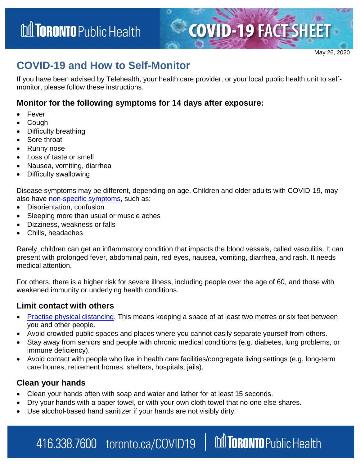

**M TORONTO** Public Health

## **COVID-19 and How to Self-Monitor**

If you have been advised by Telehealth, your health care provider, or your local public health unit to selfmonitor, please follow these instructions.

#### **Monitor for the following symptoms for 14 days after exposure:**

- Fever
- Cough
- Difficulty breathing
- Sore throat
- Runny nose
- Loss of taste or smell
- Nausea, vomiting, diarrhea
- Difficulty swallowing

Disease symptoms may be different, depending on age. Children and older adults with COVID-19, may also have [non-specific symptoms,](http://www.health.gov.on.ca/en/pro/programs/publichealth/coronavirus/docs/2019_reference_doc_symptoms.pdf) such as:

- Disorientation, confusion
- Sleeping more than usual or muscle aches
- Dizziness, weakness or falls
- Chills, headaches

Rarely, children can get an inflammatory condition that impacts the blood vessels, called vasculitis. It can present with prolonged fever, abdominal pain, red eyes, nausea, vomiting, diarrhea, and rash. It needs medical attention.

For others, there is a higher risk for severe illness, including people over the age of 60, and those with weakened immunity or underlying health conditions.

#### **Limit contact with others**

- [Practise physical distancing.](https://www.toronto.ca/home/covid-19/covid-19-protect-yourself-others/covid-19-reduce-virus-spread/?accordion=physical-distancing) This means keeping a space of at least two metres or six feet between you and other people.
- Avoid crowded public spaces and places where you cannot easily separate yourself from others.
- Stay away from seniors and people with chronic medical conditions (e.g. diabetes, lung problems, or immune deficiency).
- Avoid contact with people who live in health care facilities/congregate living settings (e.g. long-term care homes, retirement homes, shelters, hospitals, jails).

### **Clean your hands**

- Clean your hands often with soap and water and lather for at least 15 seconds.
- Dry your hands with a paper towel, or with your own cloth towel that no one else shares.
- Use alcohol-based hand sanitizer if your hands are not visibly dirty.

416.338.7600 toronto.ca/COVID19